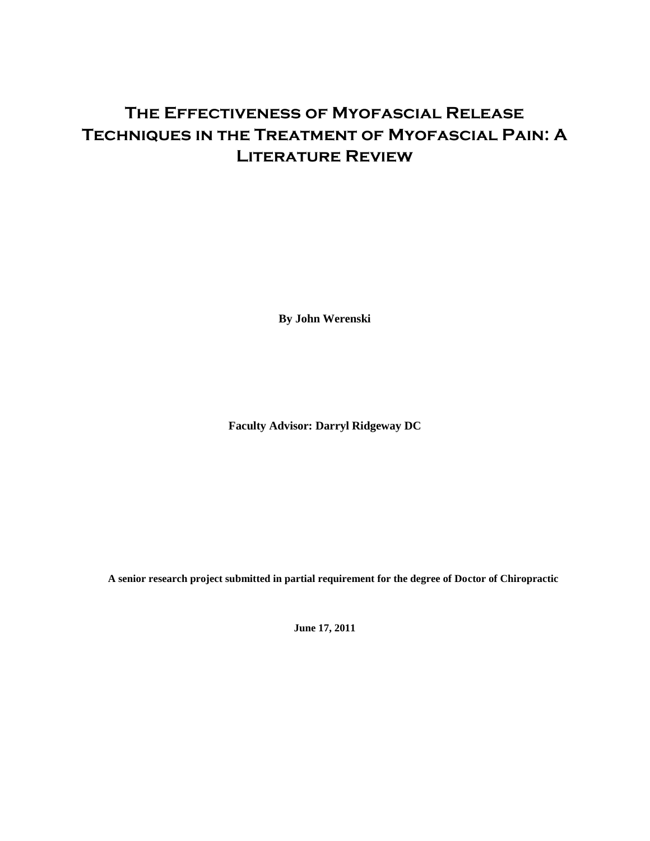# **The Effectiveness of Myofascial Release Techniques in the Treatment of Myofascial Pain: A Literature Review**

**By John Werenski**

**Faculty Advisor: Darryl Ridgeway DC**

**A senior research project submitted in partial requirement for the degree of Doctor of Chiropractic**

**June 17, 2011**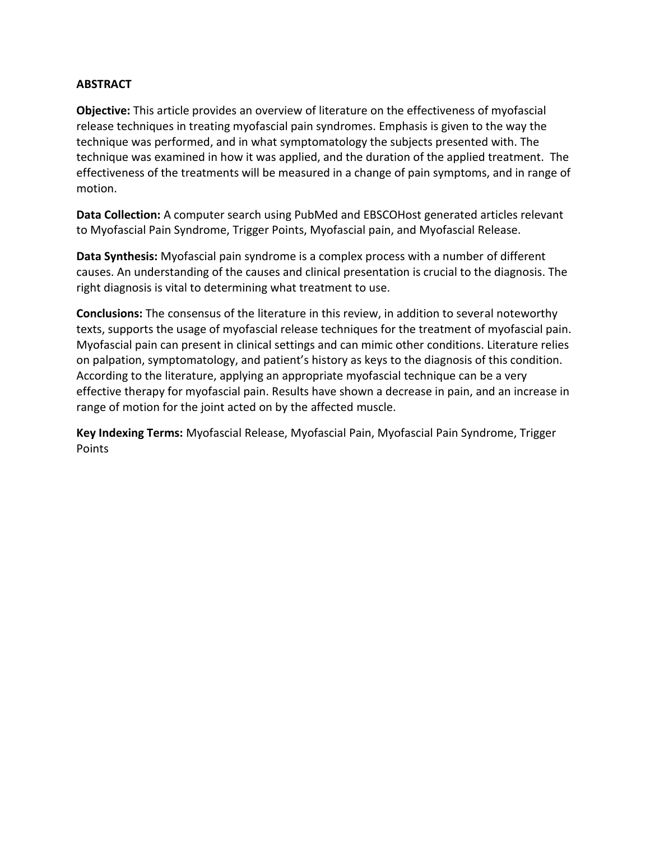### **ABSTRACT**

**Objective:** This article provides an overview of literature on the effectiveness of myofascial release techniques in treating myofascial pain syndromes. Emphasis is given to the way the technique was performed, and in what symptomatology the subjects presented with. The technique was examined in how it was applied, and the duration of the applied treatment. The effectiveness of the treatments will be measured in a change of pain symptoms, and in range of motion.

**Data Collection:** A computer search using PubMed and EBSCOHost generated articles relevant to Myofascial Pain Syndrome, Trigger Points, Myofascial pain, and Myofascial Release.

**Data Synthesis:** Myofascial pain syndrome is a complex process with a number of different causes. An understanding of the causes and clinical presentation is crucial to the diagnosis. The right diagnosis is vital to determining what treatment to use.

**Conclusions:** The consensus of the literature in this review, in addition to several noteworthy texts, supports the usage of myofascial release techniques for the treatment of myofascial pain. Myofascial pain can present in clinical settings and can mimic other conditions. Literature relies on palpation, symptomatology, and patient's history as keys to the diagnosis of this condition. According to the literature, applying an appropriate myofascial technique can be a very effective therapy for myofascial pain. Results have shown a decrease in pain, and an increase in range of motion for the joint acted on by the affected muscle.

**Key Indexing Terms:** Myofascial Release, Myofascial Pain, Myofascial Pain Syndrome, Trigger Points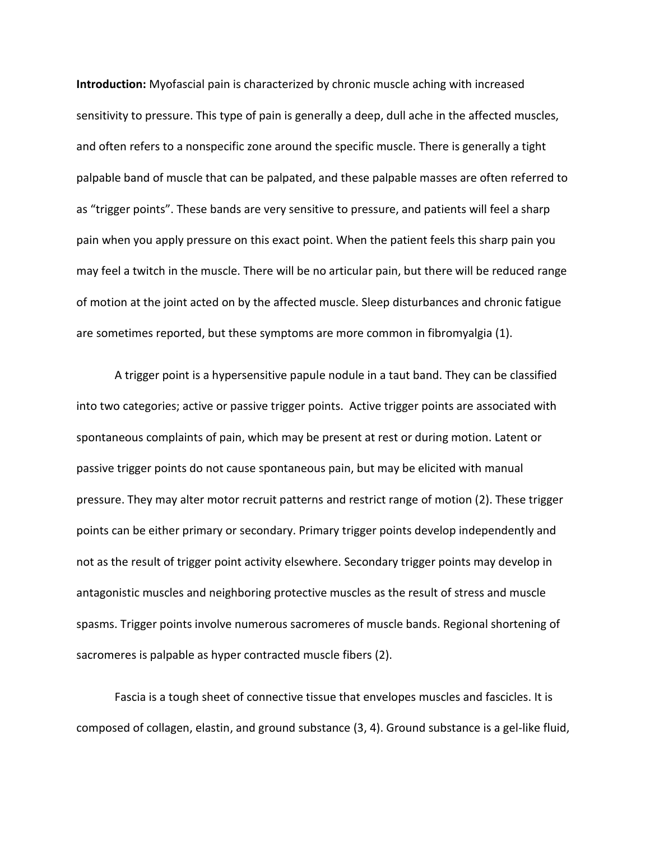**Introduction:** Myofascial pain is characterized by chronic muscle aching with increased sensitivity to pressure. This type of pain is generally a deep, dull ache in the affected muscles, and often refers to a nonspecific zone around the specific muscle. There is generally a tight palpable band of muscle that can be palpated, and these palpable masses are often referred to as "trigger points". These bands are very sensitive to pressure, and patients will feel a sharp pain when you apply pressure on this exact point. When the patient feels this sharp pain you may feel a twitch in the muscle. There will be no articular pain, but there will be reduced range of motion at the joint acted on by the affected muscle. Sleep disturbances and chronic fatigue are sometimes reported, but these symptoms are more common in fibromyalgia (1).

A trigger point is a hypersensitive papule nodule in a taut band. They can be classified into two categories; active or passive trigger points. Active trigger points are associated with spontaneous complaints of pain, which may be present at rest or during motion. Latent or passive trigger points do not cause spontaneous pain, but may be elicited with manual pressure. They may alter motor recruit patterns and restrict range of motion (2). These trigger points can be either primary or secondary. Primary trigger points develop independently and not as the result of trigger point activity elsewhere. Secondary trigger points may develop in antagonistic muscles and neighboring protective muscles as the result of stress and muscle spasms. Trigger points involve numerous sacromeres of muscle bands. Regional shortening of sacromeres is palpable as hyper contracted muscle fibers (2).

Fascia is a tough sheet of connective tissue that envelopes muscles and fascicles. It is composed of collagen, elastin, and ground substance (3, 4). Ground substance is a gel-like fluid,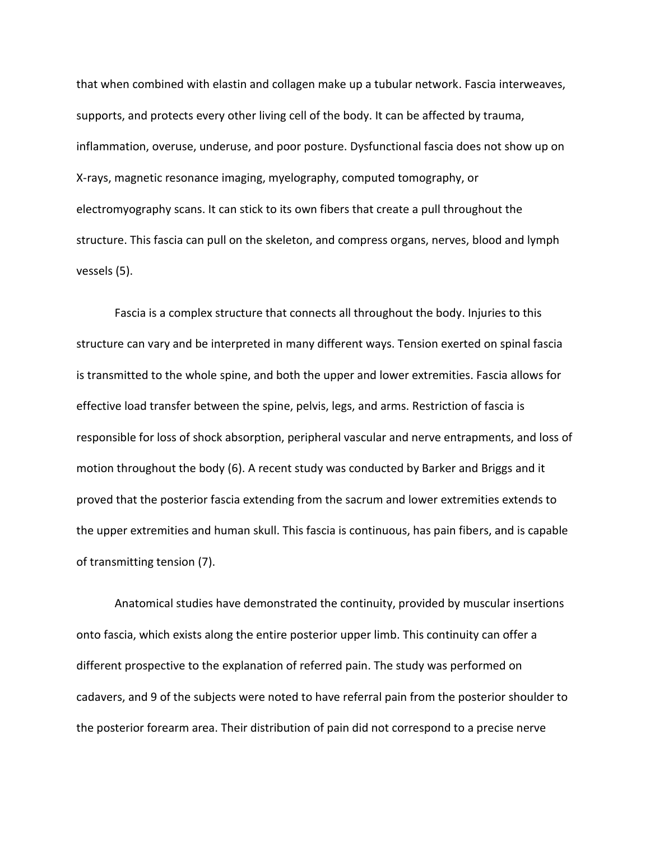that when combined with elastin and collagen make up a tubular network. Fascia interweaves, supports, and protects every other living cell of the body. It can be affected by trauma, inflammation, overuse, underuse, and poor posture. Dysfunctional fascia does not show up on X-rays, magnetic resonance imaging, myelography, computed tomography, or electromyography scans. It can stick to its own fibers that create a pull throughout the structure. This fascia can pull on the skeleton, and compress organs, nerves, blood and lymph vessels (5).

Fascia is a complex structure that connects all throughout the body. Injuries to this structure can vary and be interpreted in many different ways. Tension exerted on spinal fascia is transmitted to the whole spine, and both the upper and lower extremities. Fascia allows for effective load transfer between the spine, pelvis, legs, and arms. Restriction of fascia is responsible for loss of shock absorption, peripheral vascular and nerve entrapments, and loss of motion throughout the body (6). A recent study was conducted by Barker and Briggs and it proved that the posterior fascia extending from the sacrum and lower extremities extends to the upper extremities and human skull. This fascia is continuous, has pain fibers, and is capable of transmitting tension (7).

Anatomical studies have demonstrated the continuity, provided by muscular insertions onto fascia, which exists along the entire posterior upper limb. This continuity can offer a different prospective to the explanation of referred pain. The study was performed on cadavers, and 9 of the subjects were noted to have referral pain from the posterior shoulder to the posterior forearm area. Their distribution of pain did not correspond to a precise nerve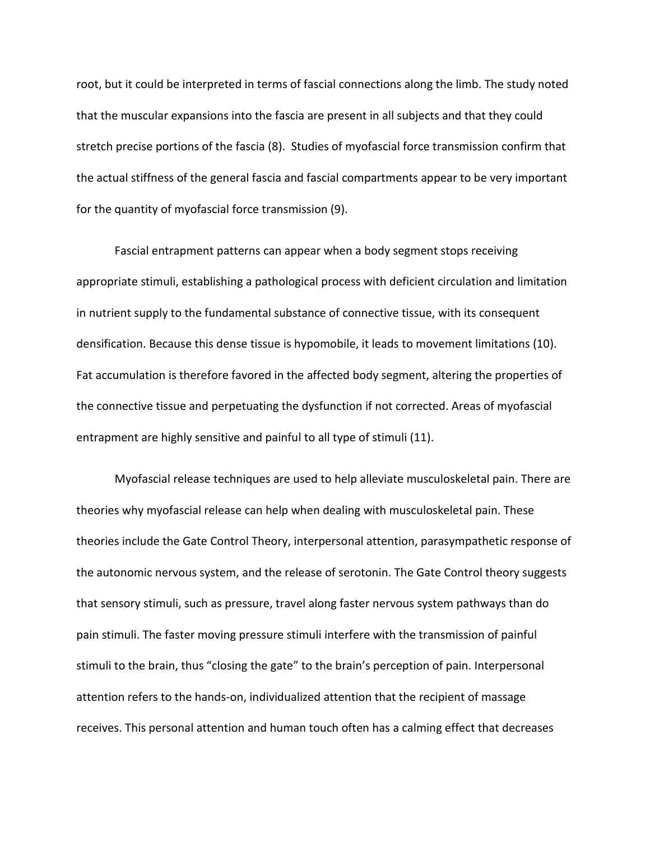root, but it could be interpreted in terms of fascial connections along the limb. The study noted that the muscular expansions into the fascia are present in all subjects and that they could stretch precise portions of the fascia (8). Studies of myofascial force transmission confirm that the actual stiffness of the general fascia and fascial compartments appear to be very important for the quantity of myofascial force transmission (9).

Fascial entrapment patterns can appear when a body segment stops receiving appropriate stimuli, establishing a pathological process with deficient circulation and limitation in nutrient supply to the fundamental substance of connective tissue, with its consequent densification. Because this dense tissue is hypomobile, it leads to movement limitations (10). Fat accumulation is therefore favored in the affected body segment, altering the properties of the connective tissue and perpetuating the dysfunction if not corrected. Areas of myofascial entrapment are highly sensitive and painful to all type of stimuli (11).

Myofascial release techniques are used to help alleviate musculoskeletal pain. There are theories why myofascial release can help when dealing with musculoskeletal pain. These theories include the Gate Control Theory, interpersonal attention, parasympathetic response of the autonomic nervous system, and the release of serotonin. The Gate Control theory suggests that sensory stimuli, such as pressure, travel along faster nervous system pathways than do pain stimuli. The faster moving pressure stimuli interfere with the transmission of painful stimuli to the brain, thus "closing the gate" to the brain's perception of pain. Interpersonal attention refers to the hands-on, individualized attention that the recipient of massage receives. This personal attention and human touch often has a calming effect that decreases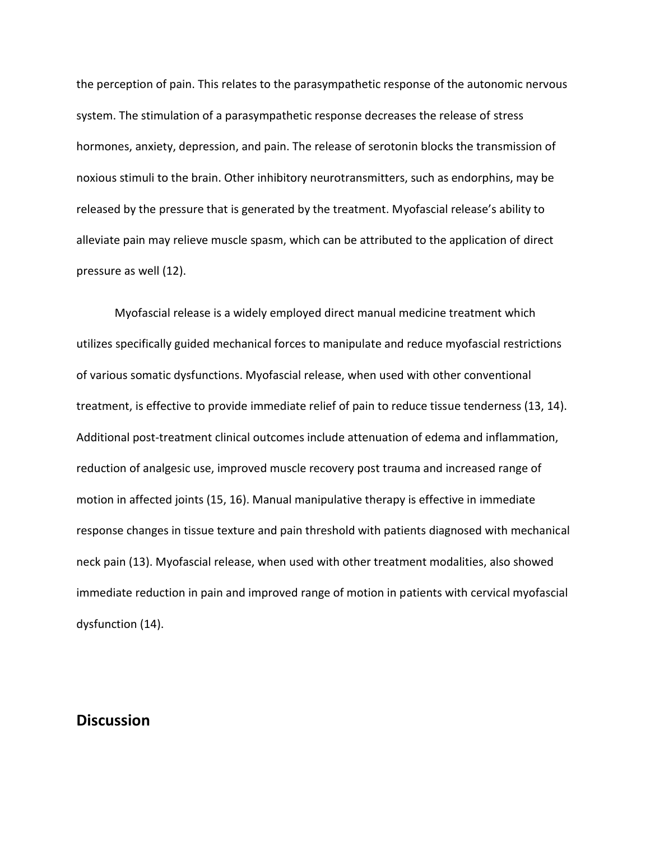the perception of pain. This relates to the parasympathetic response of the autonomic nervous system. The stimulation of a parasympathetic response decreases the release of stress hormones, anxiety, depression, and pain. The release of serotonin blocks the transmission of noxious stimuli to the brain. Other inhibitory neurotransmitters, such as endorphins, may be released by the pressure that is generated by the treatment. Myofascial release's ability to alleviate pain may relieve muscle spasm, which can be attributed to the application of direct pressure as well (12).

Myofascial release is a widely employed direct manual medicine treatment which utilizes specifically guided mechanical forces to manipulate and reduce myofascial restrictions of various somatic dysfunctions. Myofascial release, when used with other conventional treatment, is effective to provide immediate relief of pain to reduce tissue tenderness (13, 14). Additional post-treatment clinical outcomes include attenuation of edema and inflammation, reduction of analgesic use, improved muscle recovery post trauma and increased range of motion in affected joints (15, 16). Manual manipulative therapy is effective in immediate response changes in tissue texture and pain threshold with patients diagnosed with mechanical neck pain (13). Myofascial release, when used with other treatment modalities, also showed immediate reduction in pain and improved range of motion in patients with cervical myofascial dysfunction (14).

## **Discussion**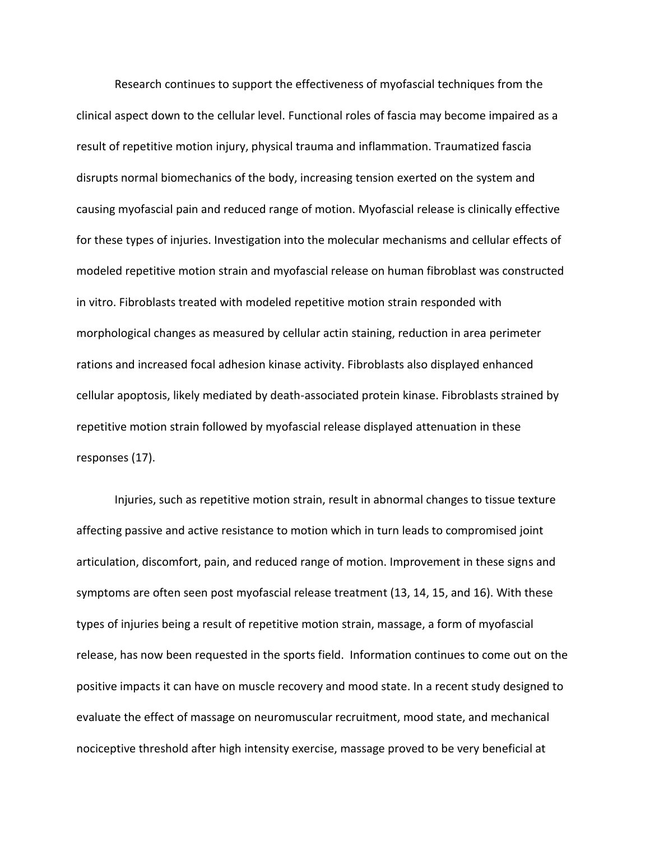Research continues to support the effectiveness of myofascial techniques from the clinical aspect down to the cellular level. Functional roles of fascia may become impaired as a result of repetitive motion injury, physical trauma and inflammation. Traumatized fascia disrupts normal biomechanics of the body, increasing tension exerted on the system and causing myofascial pain and reduced range of motion. Myofascial release is clinically effective for these types of injuries. Investigation into the molecular mechanisms and cellular effects of modeled repetitive motion strain and myofascial release on human fibroblast was constructed in vitro. Fibroblasts treated with modeled repetitive motion strain responded with morphological changes as measured by cellular actin staining, reduction in area perimeter rations and increased focal adhesion kinase activity. Fibroblasts also displayed enhanced cellular apoptosis, likely mediated by death-associated protein kinase. Fibroblasts strained by repetitive motion strain followed by myofascial release displayed attenuation in these responses (17).

Injuries, such as repetitive motion strain, result in abnormal changes to tissue texture affecting passive and active resistance to motion which in turn leads to compromised joint articulation, discomfort, pain, and reduced range of motion. Improvement in these signs and symptoms are often seen post myofascial release treatment (13, 14, 15, and 16). With these types of injuries being a result of repetitive motion strain, massage, a form of myofascial release, has now been requested in the sports field. Information continues to come out on the positive impacts it can have on muscle recovery and mood state. In a recent study designed to evaluate the effect of massage on neuromuscular recruitment, mood state, and mechanical nociceptive threshold after high intensity exercise, massage proved to be very beneficial at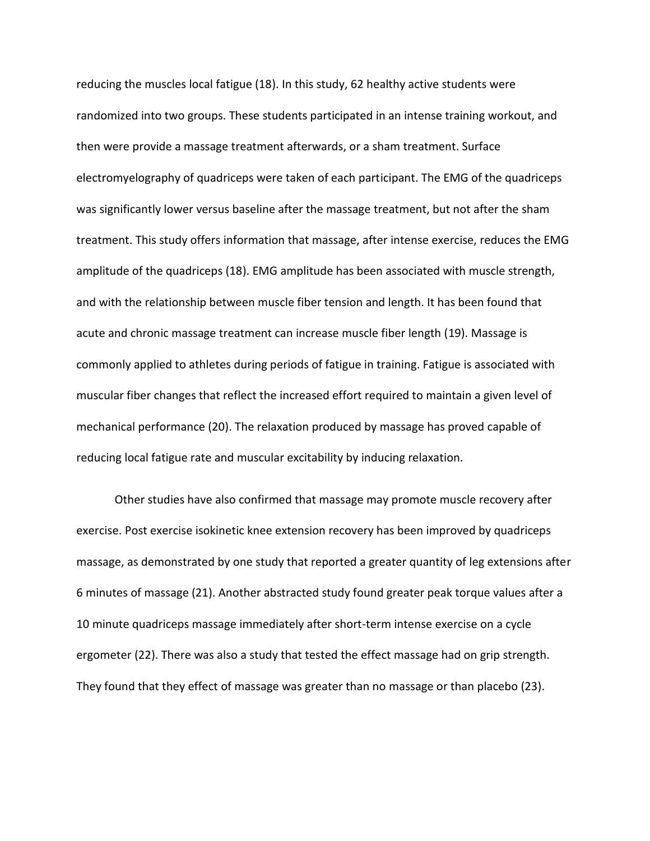reducing the muscles local fatigue (18). In this study, 62 healthy active students were randomized into two groups. These students participated in an intense training workout, and then were provide a massage treatment afterwards, or a sham treatment. Surface electromyelography of quadriceps were taken of each participant. The EMG of the quadriceps was significantly lower versus baseline after the massage treatment, but not after the sham treatment. This study offers information that massage, after intense exercise, reduces the EMG amplitude of the quadriceps (18). EMG amplitude has been associated with muscle strength, and with the relationship between muscle fiber tension and length. It has been found that acute and chronic massage treatment can increase muscle fiber length (19). Massage is commonly applied to athletes during periods of fatigue in training. Fatigue is associated with muscular fiber changes that reflect the increased effort required to maintain a given level of mechanical performance (20). The relaxation produced by massage has proved capable of reducing local fatigue rate and muscular excitability by inducing relaxation.

Other studies have also confirmed that massage may promote muscle recovery after exercise. Post exercise isokinetic knee extension recovery has been improved by quadriceps massage, as demonstrated by one study that reported a greater quantity of leg extensions after 6 minutes of massage (21). Another abstracted study found greater peak torque values after a 10 minute quadriceps massage immediately after short-term intense exercise on a cycle ergometer (22). There was also a study that tested the effect massage had on grip strength. They found that they effect of massage was greater than no massage or than placebo (23).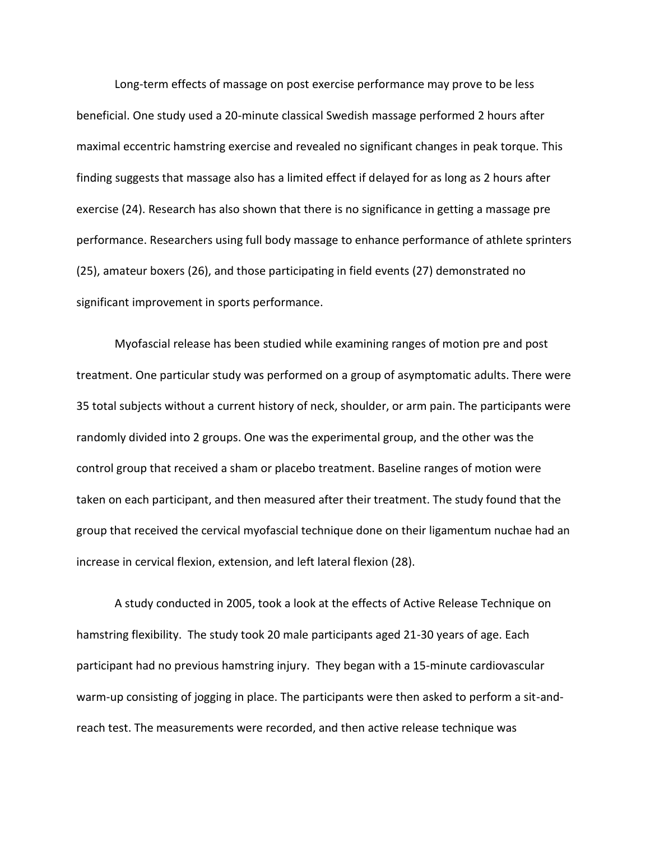Long-term effects of massage on post exercise performance may prove to be less beneficial. One study used a 20-minute classical Swedish massage performed 2 hours after maximal eccentric hamstring exercise and revealed no significant changes in peak torque. This finding suggests that massage also has a limited effect if delayed for as long as 2 hours after exercise (24). Research has also shown that there is no significance in getting a massage pre performance. Researchers using full body massage to enhance performance of athlete sprinters (25), amateur boxers (26), and those participating in field events (27) demonstrated no significant improvement in sports performance.

Myofascial release has been studied while examining ranges of motion pre and post treatment. One particular study was performed on a group of asymptomatic adults. There were 35 total subjects without a current history of neck, shoulder, or arm pain. The participants were randomly divided into 2 groups. One was the experimental group, and the other was the control group that received a sham or placebo treatment. Baseline ranges of motion were taken on each participant, and then measured after their treatment. The study found that the group that received the cervical myofascial technique done on their ligamentum nuchae had an increase in cervical flexion, extension, and left lateral flexion (28).

A study conducted in 2005, took a look at the effects of Active Release Technique on hamstring flexibility. The study took 20 male participants aged 21-30 years of age. Each participant had no previous hamstring injury. They began with a 15-minute cardiovascular warm-up consisting of jogging in place. The participants were then asked to perform a sit-andreach test. The measurements were recorded, and then active release technique was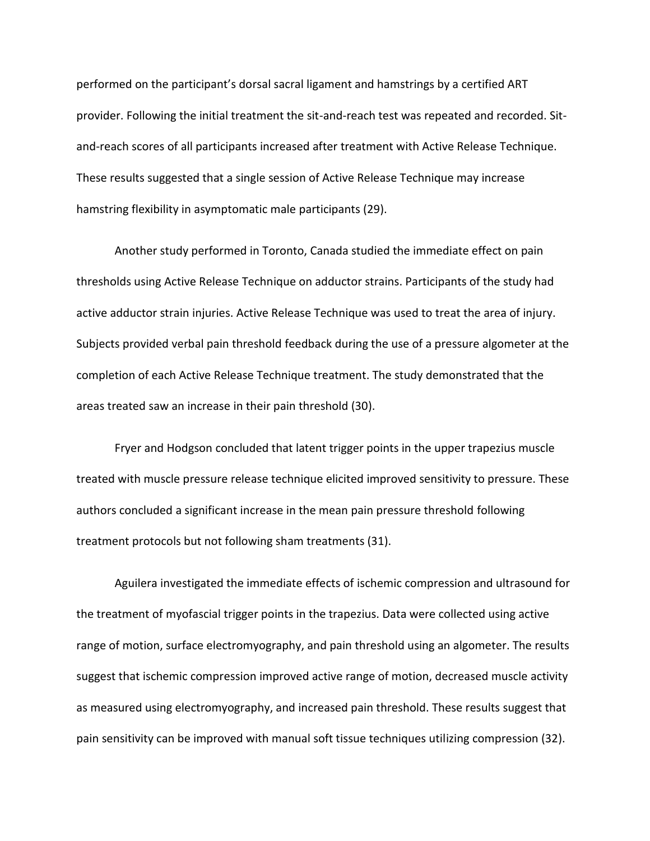performed on the participant's dorsal sacral ligament and hamstrings by a certified ART provider. Following the initial treatment the sit-and-reach test was repeated and recorded. Sitand-reach scores of all participants increased after treatment with Active Release Technique. These results suggested that a single session of Active Release Technique may increase hamstring flexibility in asymptomatic male participants (29).

Another study performed in Toronto, Canada studied the immediate effect on pain thresholds using Active Release Technique on adductor strains. Participants of the study had active adductor strain injuries. Active Release Technique was used to treat the area of injury. Subjects provided verbal pain threshold feedback during the use of a pressure algometer at the completion of each Active Release Technique treatment. The study demonstrated that the areas treated saw an increase in their pain threshold (30).

Fryer and Hodgson concluded that latent trigger points in the upper trapezius muscle treated with muscle pressure release technique elicited improved sensitivity to pressure. These authors concluded a significant increase in the mean pain pressure threshold following treatment protocols but not following sham treatments (31).

Aguilera investigated the immediate effects of ischemic compression and ultrasound for the treatment of myofascial trigger points in the trapezius. Data were collected using active range of motion, surface electromyography, and pain threshold using an algometer. The results suggest that ischemic compression improved active range of motion, decreased muscle activity as measured using electromyography, and increased pain threshold. These results suggest that pain sensitivity can be improved with manual soft tissue techniques utilizing compression (32).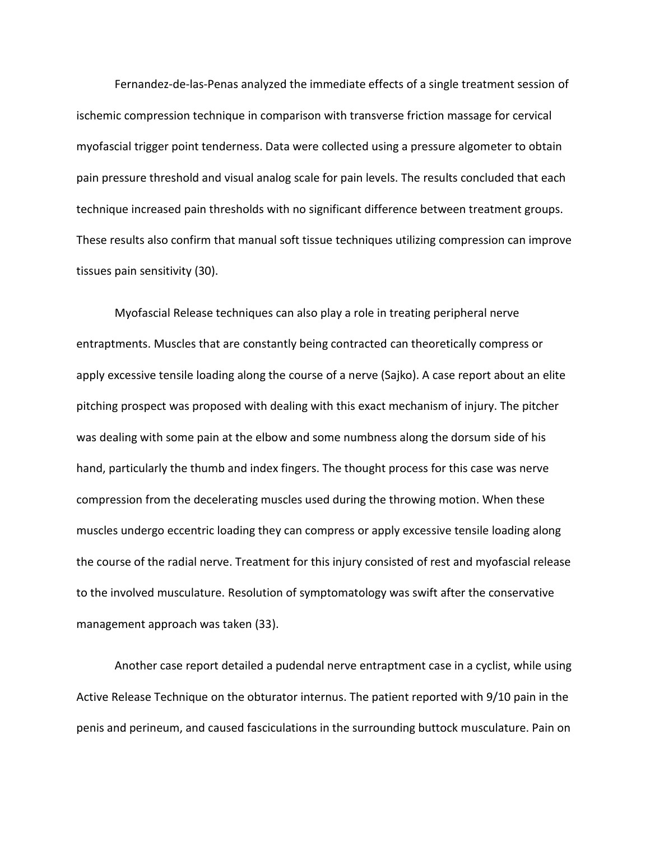Fernandez-de-las-Penas analyzed the immediate effects of a single treatment session of ischemic compression technique in comparison with transverse friction massage for cervical myofascial trigger point tenderness. Data were collected using a pressure algometer to obtain pain pressure threshold and visual analog scale for pain levels. The results concluded that each technique increased pain thresholds with no significant difference between treatment groups. These results also confirm that manual soft tissue techniques utilizing compression can improve tissues pain sensitivity (30).

Myofascial Release techniques can also play a role in treating peripheral nerve entraptments. Muscles that are constantly being contracted can theoretically compress or apply excessive tensile loading along the course of a nerve (Sajko). A case report about an elite pitching prospect was proposed with dealing with this exact mechanism of injury. The pitcher was dealing with some pain at the elbow and some numbness along the dorsum side of his hand, particularly the thumb and index fingers. The thought process for this case was nerve compression from the decelerating muscles used during the throwing motion. When these muscles undergo eccentric loading they can compress or apply excessive tensile loading along the course of the radial nerve. Treatment for this injury consisted of rest and myofascial release to the involved musculature. Resolution of symptomatology was swift after the conservative management approach was taken (33).

Another case report detailed a pudendal nerve entraptment case in a cyclist, while using Active Release Technique on the obturator internus. The patient reported with 9/10 pain in the penis and perineum, and caused fasciculations in the surrounding buttock musculature. Pain on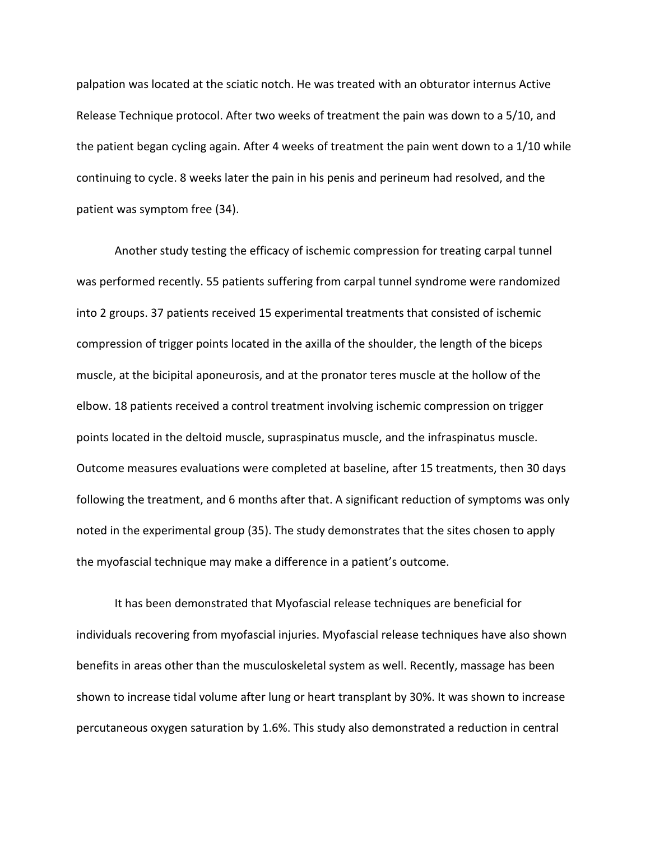palpation was located at the sciatic notch. He was treated with an obturator internus Active Release Technique protocol. After two weeks of treatment the pain was down to a 5/10, and the patient began cycling again. After 4 weeks of treatment the pain went down to a 1/10 while continuing to cycle. 8 weeks later the pain in his penis and perineum had resolved, and the patient was symptom free (34).

Another study testing the efficacy of ischemic compression for treating carpal tunnel was performed recently. 55 patients suffering from carpal tunnel syndrome were randomized into 2 groups. 37 patients received 15 experimental treatments that consisted of ischemic compression of trigger points located in the axilla of the shoulder, the length of the biceps muscle, at the bicipital aponeurosis, and at the pronator teres muscle at the hollow of the elbow. 18 patients received a control treatment involving ischemic compression on trigger points located in the deltoid muscle, supraspinatus muscle, and the infraspinatus muscle. Outcome measures evaluations were completed at baseline, after 15 treatments, then 30 days following the treatment, and 6 months after that. A significant reduction of symptoms was only noted in the experimental group (35). The study demonstrates that the sites chosen to apply the myofascial technique may make a difference in a patient's outcome.

It has been demonstrated that Myofascial release techniques are beneficial for individuals recovering from myofascial injuries. Myofascial release techniques have also shown benefits in areas other than the musculoskeletal system as well. Recently, massage has been shown to increase tidal volume after lung or heart transplant by 30%. It was shown to increase percutaneous oxygen saturation by 1.6%. This study also demonstrated a reduction in central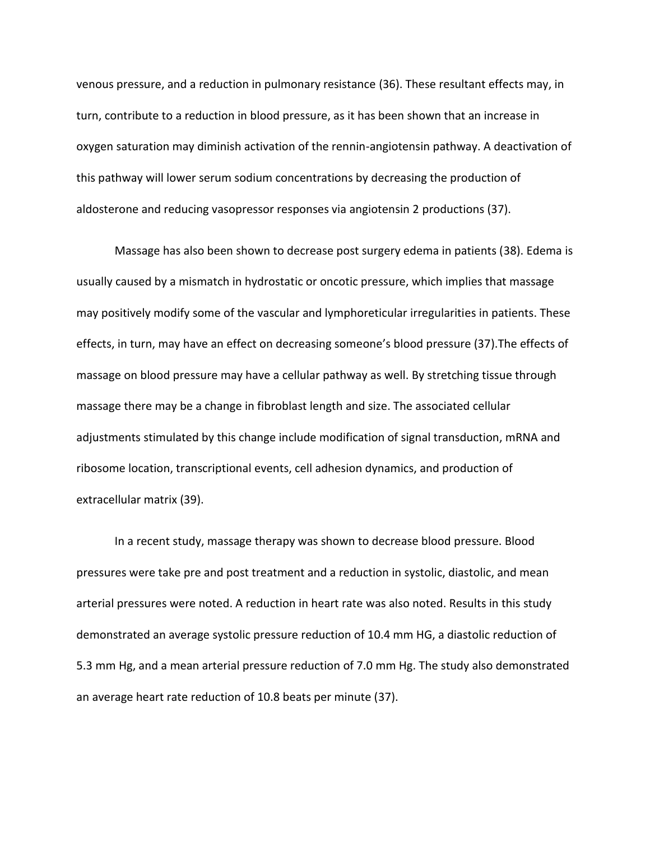venous pressure, and a reduction in pulmonary resistance (36). These resultant effects may, in turn, contribute to a reduction in blood pressure, as it has been shown that an increase in oxygen saturation may diminish activation of the rennin-angiotensin pathway. A deactivation of this pathway will lower serum sodium concentrations by decreasing the production of aldosterone and reducing vasopressor responses via angiotensin 2 productions (37).

Massage has also been shown to decrease post surgery edema in patients (38). Edema is usually caused by a mismatch in hydrostatic or oncotic pressure, which implies that massage may positively modify some of the vascular and lymphoreticular irregularities in patients. These effects, in turn, may have an effect on decreasing someone's blood pressure (37).The effects of massage on blood pressure may have a cellular pathway as well. By stretching tissue through massage there may be a change in fibroblast length and size. The associated cellular adjustments stimulated by this change include modification of signal transduction, mRNA and ribosome location, transcriptional events, cell adhesion dynamics, and production of extracellular matrix (39).

In a recent study, massage therapy was shown to decrease blood pressure. Blood pressures were take pre and post treatment and a reduction in systolic, diastolic, and mean arterial pressures were noted. A reduction in heart rate was also noted. Results in this study demonstrated an average systolic pressure reduction of 10.4 mm HG, a diastolic reduction of 5.3 mm Hg, and a mean arterial pressure reduction of 7.0 mm Hg. The study also demonstrated an average heart rate reduction of 10.8 beats per minute (37).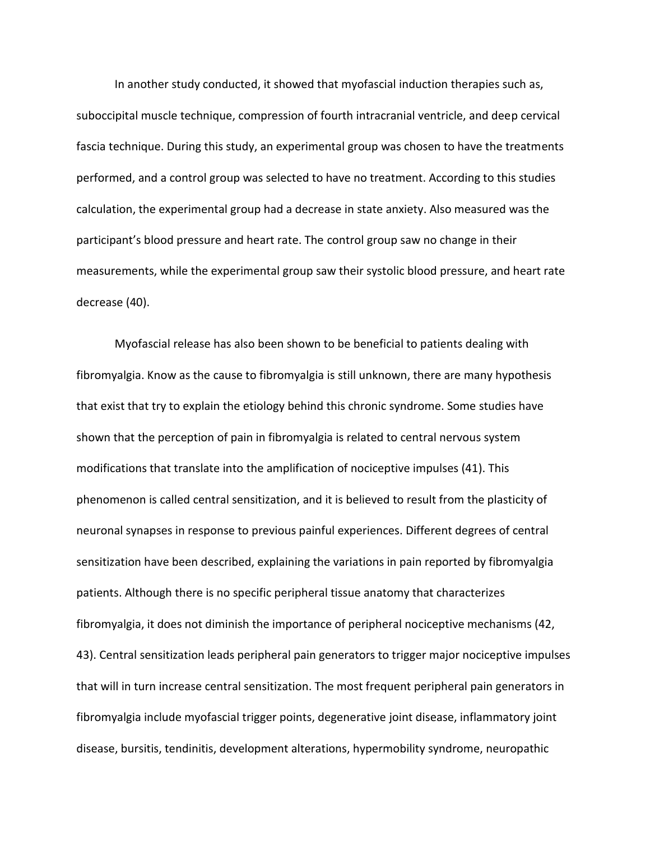In another study conducted, it showed that myofascial induction therapies such as, suboccipital muscle technique, compression of fourth intracranial ventricle, and deep cervical fascia technique. During this study, an experimental group was chosen to have the treatments performed, and a control group was selected to have no treatment. According to this studies calculation, the experimental group had a decrease in state anxiety. Also measured was the participant's blood pressure and heart rate. The control group saw no change in their measurements, while the experimental group saw their systolic blood pressure, and heart rate decrease (40).

Myofascial release has also been shown to be beneficial to patients dealing with fibromyalgia. Know as the cause to fibromyalgia is still unknown, there are many hypothesis that exist that try to explain the etiology behind this chronic syndrome. Some studies have shown that the perception of pain in fibromyalgia is related to central nervous system modifications that translate into the amplification of nociceptive impulses (41). This phenomenon is called central sensitization, and it is believed to result from the plasticity of neuronal synapses in response to previous painful experiences. Different degrees of central sensitization have been described, explaining the variations in pain reported by fibromyalgia patients. Although there is no specific peripheral tissue anatomy that characterizes fibromyalgia, it does not diminish the importance of peripheral nociceptive mechanisms (42, 43). Central sensitization leads peripheral pain generators to trigger major nociceptive impulses that will in turn increase central sensitization. The most frequent peripheral pain generators in fibromyalgia include myofascial trigger points, degenerative joint disease, inflammatory joint disease, bursitis, tendinitis, development alterations, hypermobility syndrome, neuropathic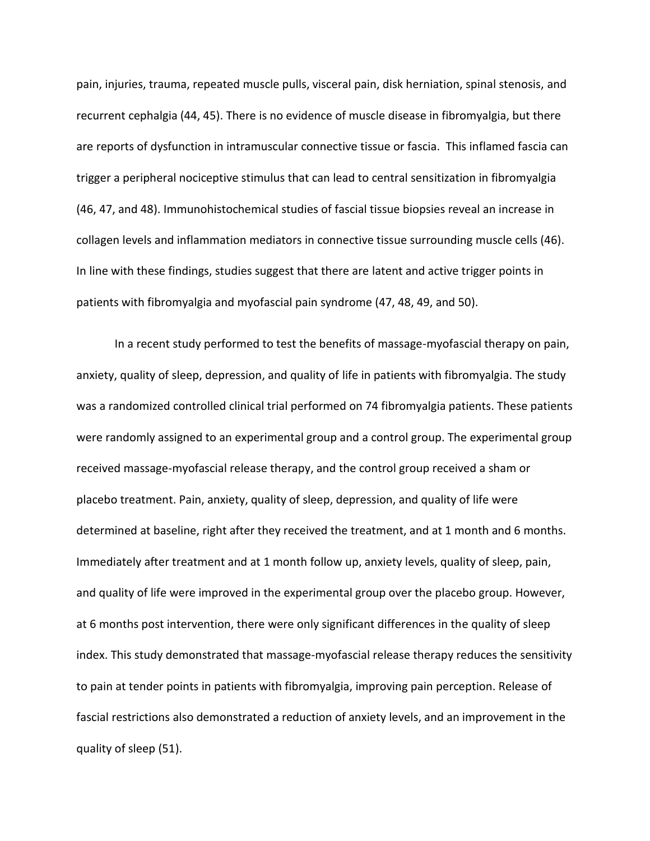pain, injuries, trauma, repeated muscle pulls, visceral pain, disk herniation, spinal stenosis, and recurrent cephalgia (44, 45). There is no evidence of muscle disease in fibromyalgia, but there are reports of dysfunction in intramuscular connective tissue or fascia. This inflamed fascia can trigger a peripheral nociceptive stimulus that can lead to central sensitization in fibromyalgia (46, 47, and 48). Immunohistochemical studies of fascial tissue biopsies reveal an increase in collagen levels and inflammation mediators in connective tissue surrounding muscle cells (46). In line with these findings, studies suggest that there are latent and active trigger points in patients with fibromyalgia and myofascial pain syndrome (47, 48, 49, and 50).

In a recent study performed to test the benefits of massage-myofascial therapy on pain, anxiety, quality of sleep, depression, and quality of life in patients with fibromyalgia. The study was a randomized controlled clinical trial performed on 74 fibromyalgia patients. These patients were randomly assigned to an experimental group and a control group. The experimental group received massage-myofascial release therapy, and the control group received a sham or placebo treatment. Pain, anxiety, quality of sleep, depression, and quality of life were determined at baseline, right after they received the treatment, and at 1 month and 6 months. Immediately after treatment and at 1 month follow up, anxiety levels, quality of sleep, pain, and quality of life were improved in the experimental group over the placebo group. However, at 6 months post intervention, there were only significant differences in the quality of sleep index. This study demonstrated that massage-myofascial release therapy reduces the sensitivity to pain at tender points in patients with fibromyalgia, improving pain perception. Release of fascial restrictions also demonstrated a reduction of anxiety levels, and an improvement in the quality of sleep (51).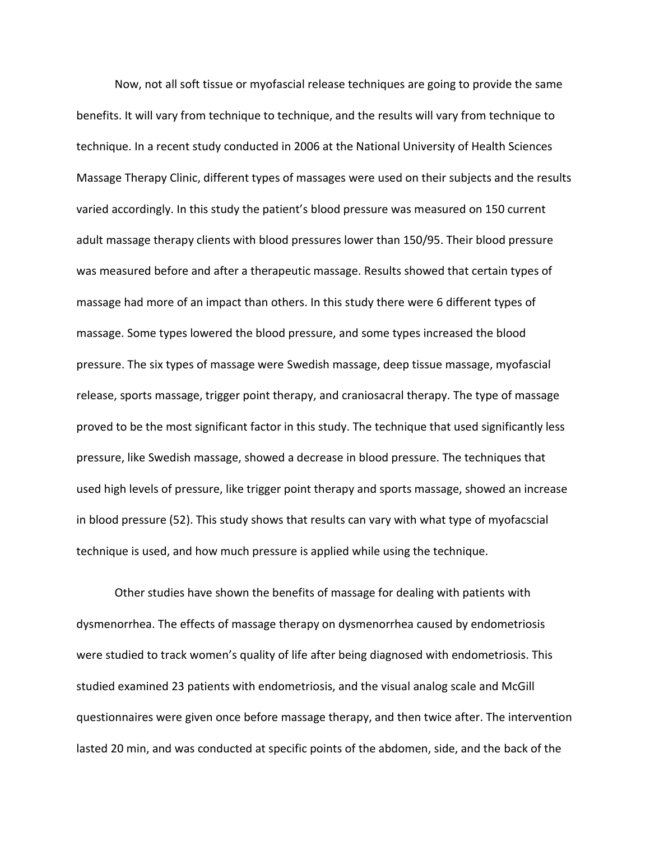Now, not all soft tissue or myofascial release techniques are going to provide the same benefits. It will vary from technique to technique, and the results will vary from technique to technique. In a recent study conducted in 2006 at the National University of Health Sciences Massage Therapy Clinic, different types of massages were used on their subjects and the results varied accordingly. In this study the patient's blood pressure was measured on 150 current adult massage therapy clients with blood pressures lower than 150/95. Their blood pressure was measured before and after a therapeutic massage. Results showed that certain types of massage had more of an impact than others. In this study there were 6 different types of massage. Some types lowered the blood pressure, and some types increased the blood pressure. The six types of massage were Swedish massage, deep tissue massage, myofascial release, sports massage, trigger point therapy, and craniosacral therapy. The type of massage proved to be the most significant factor in this study. The technique that used significantly less pressure, like Swedish massage, showed a decrease in blood pressure. The techniques that used high levels of pressure, like trigger point therapy and sports massage, showed an increase in blood pressure (52). This study shows that results can vary with what type of myofacscial technique is used, and how much pressure is applied while using the technique.

Other studies have shown the benefits of massage for dealing with patients with dysmenorrhea. The effects of massage therapy on dysmenorrhea caused by endometriosis were studied to track women's quality of life after being diagnosed with endometriosis. This studied examined 23 patients with endometriosis, and the visual analog scale and McGill questionnaires were given once before massage therapy, and then twice after. The intervention lasted 20 min, and was conducted at specific points of the abdomen, side, and the back of the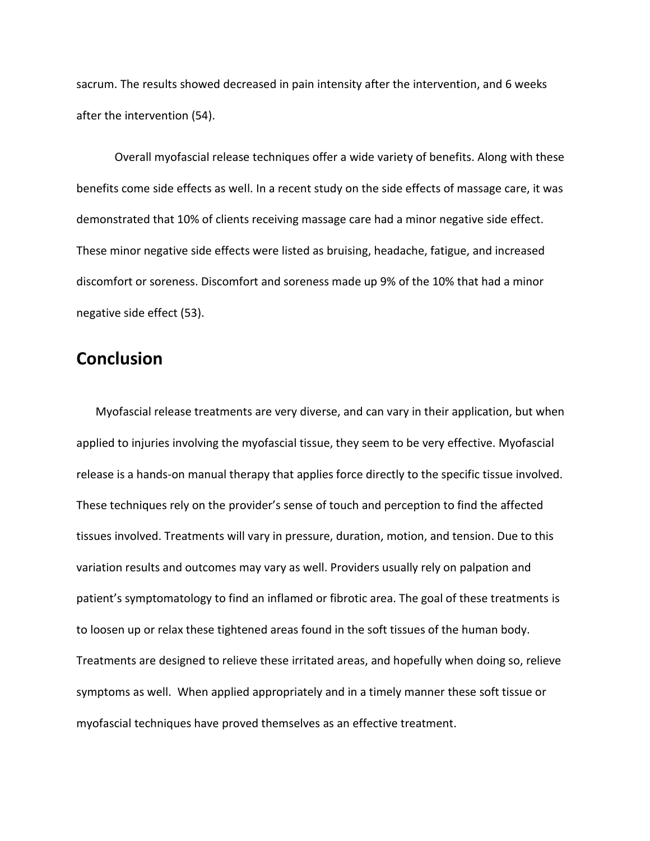sacrum. The results showed decreased in pain intensity after the intervention, and 6 weeks after the intervention (54).

Overall myofascial release techniques offer a wide variety of benefits. Along with these benefits come side effects as well. In a recent study on the side effects of massage care, it was demonstrated that 10% of clients receiving massage care had a minor negative side effect. These minor negative side effects were listed as bruising, headache, fatigue, and increased discomfort or soreness. Discomfort and soreness made up 9% of the 10% that had a minor negative side effect (53).

## **Conclusion**

Myofascial release treatments are very diverse, and can vary in their application, but when applied to injuries involving the myofascial tissue, they seem to be very effective. Myofascial release is a hands-on manual therapy that applies force directly to the specific tissue involved. These techniques rely on the provider's sense of touch and perception to find the affected tissues involved. Treatments will vary in pressure, duration, motion, and tension. Due to this variation results and outcomes may vary as well. Providers usually rely on palpation and patient's symptomatology to find an inflamed or fibrotic area. The goal of these treatments is to loosen up or relax these tightened areas found in the soft tissues of the human body. Treatments are designed to relieve these irritated areas, and hopefully when doing so, relieve symptoms as well. When applied appropriately and in a timely manner these soft tissue or myofascial techniques have proved themselves as an effective treatment.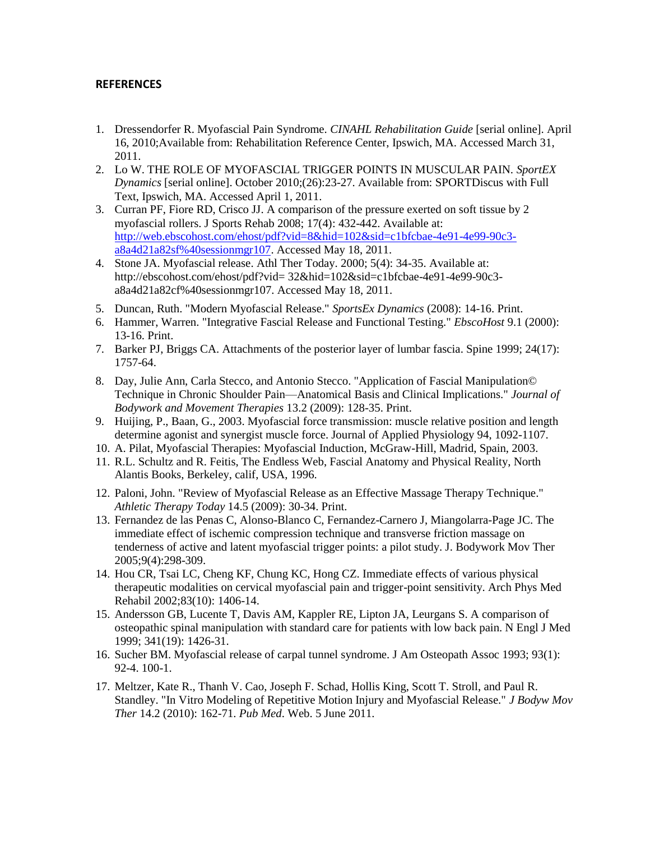#### **REFERENCES**

- 1. Dressendorfer R. Myofascial Pain Syndrome. *CINAHL Rehabilitation Guide* [serial online]. April 16, 2010;Available from: Rehabilitation Reference Center, Ipswich, MA. Accessed March 31, 2011.
- 2. Lo W. THE ROLE OF MYOFASCIAL TRIGGER POINTS IN MUSCULAR PAIN. *SportEX Dynamics* [serial online]. October 2010;(26):23-27. Available from: SPORTDiscus with Full Text, Ipswich, MA. Accessed April 1, 2011.
- 3. Curran PF, Fiore RD, Crisco JJ. A comparison of the pressure exerted on soft tissue by 2 myofascial rollers. J Sports Rehab 2008; 17(4): 432-442. Available at: [http://web.ebscohost.com/ehost/pdf?vid=8&hid=102&sid=c1bfcbae-4e91-4e99-90c3](http://web.ebscohost.com/ehost/pdf?vid=8&hid=102&sid=c1bfcbae-4e91-4e99-90c3-a8a4d21a82sf%40sessionmgr107) [a8a4d21a82sf%40sessionmgr107.](http://web.ebscohost.com/ehost/pdf?vid=8&hid=102&sid=c1bfcbae-4e91-4e99-90c3-a8a4d21a82sf%40sessionmgr107) Accessed May 18, 2011.
- 4. Stone JA. Myofascial release. Athl Ther Today. 2000; 5(4): 34-35. Available at: http://ebscohost.com/ehost/pdf?vid= 32&hid=102&sid=c1bfcbae-4e91-4e99-90c3 a8a4d21a82cf%40sessionmgr107. Accessed May 18, 2011.
- 5. Duncan, Ruth. "Modern Myofascial Release." *SportsEx Dynamics* (2008): 14-16. Print.
- 6. Hammer, Warren. "Integrative Fascial Release and Functional Testing." *EbscoHost* 9.1 (2000): 13-16. Print.
- 7. Barker PJ, Briggs CA. Attachments of the posterior layer of lumbar fascia. Spine 1999; 24(17): 1757-64.
- 8. Day, Julie Ann, Carla Stecco, and Antonio Stecco. "Application of Fascial Manipulation© Technique in Chronic Shoulder Pain—Anatomical Basis and Clinical Implications." *Journal of Bodywork and Movement Therapies* 13.2 (2009): 128-35. Print.
- 9. Huijing, P., Baan, G., 2003. Myofascial force transmission: muscle relative position and length determine agonist and synergist muscle force. Journal of Applied Physiology 94, 1092-1107.
- 10. A. Pilat, Myofascial Therapies: Myofascial Induction, McGraw-Hill, Madrid, Spain, 2003.
- 11. R.L. Schultz and R. Feitis, The Endless Web, Fascial Anatomy and Physical Reality, North Alantis Books, Berkeley, calif, USA, 1996.
- 12. Paloni, John. "Review of Myofascial Release as an Effective Massage Therapy Technique." *Athletic Therapy Today* 14.5 (2009): 30-34. Print.
- 13. Fernandez de las Penas C, Alonso-Blanco C, Fernandez-Carnero J, Miangolarra-Page JC. The immediate effect of ischemic compression technique and transverse friction massage on tenderness of active and latent myofascial trigger points: a pilot study. J. Bodywork Mov Ther 2005;9(4):298-309.
- 14. Hou CR, Tsai LC, Cheng KF, Chung KC, Hong CZ. Immediate effects of various physical therapeutic modalities on cervical myofascial pain and trigger-point sensitivity. Arch Phys Med Rehabil 2002;83(10): 1406-14.
- 15. Andersson GB, Lucente T, Davis AM, Kappler RE, Lipton JA, Leurgans S. A comparison of osteopathic spinal manipulation with standard care for patients with low back pain. N Engl J Med 1999; 341(19): 1426-31.
- 16. Sucher BM. Myofascial release of carpal tunnel syndrome. J Am Osteopath Assoc 1993; 93(1): 92-4. 100-1.
- 17. Meltzer, Kate R., Thanh V. Cao, Joseph F. Schad, Hollis King, Scott T. Stroll, and Paul R. Standley. "In Vitro Modeling of Repetitive Motion Injury and Myofascial Release." *J Bodyw Mov Ther* 14.2 (2010): 162-71. *Pub Med*. Web. 5 June 2011.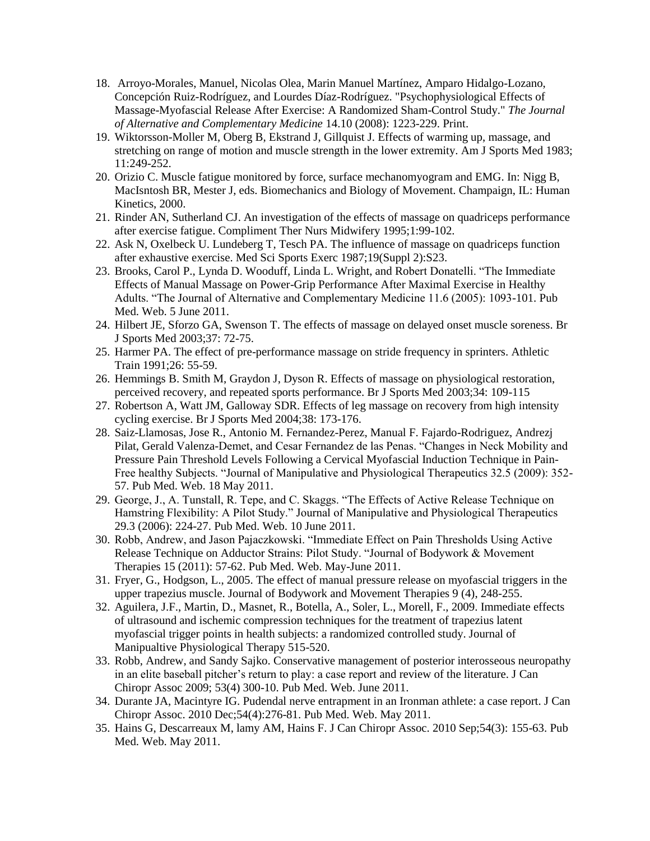- 18. Arroyo-Morales, Manuel, Nicolas Olea, Marin Manuel Martínez, Amparo Hidalgo-Lozano, Concepción Ruiz-Rodríguez, and Lourdes Díaz-Rodríguez. "Psychophysiological Effects of Massage-Myofascial Release After Exercise: A Randomized Sham-Control Study." *The Journal of Alternative and Complementary Medicine* 14.10 (2008): 1223-229. Print.
- 19. Wiktorsson-Moller M, Oberg B, Ekstrand J, Gillquist J. Effects of warming up, massage, and stretching on range of motion and muscle strength in the lower extremity. Am J Sports Med 1983; 11:249-252.
- 20. Orizio C. Muscle fatigue monitored by force, surface mechanomyogram and EMG. In: Nigg B, MacIsntosh BR, Mester J, eds. Biomechanics and Biology of Movement. Champaign, IL: Human Kinetics, 2000.
- 21. Rinder AN, Sutherland CJ. An investigation of the effects of massage on quadriceps performance after exercise fatigue. Compliment Ther Nurs Midwifery 1995;1:99-102.
- 22. Ask N, Oxelbeck U. Lundeberg T, Tesch PA. The influence of massage on quadriceps function after exhaustive exercise. Med Sci Sports Exerc 1987;19(Suppl 2):S23.
- 23. Brooks, Carol P., Lynda D. Wooduff, Linda L. Wright, and Robert Donatelli. "The Immediate Effects of Manual Massage on Power-Grip Performance After Maximal Exercise in Healthy Adults. "The Journal of Alternative and Complementary Medicine 11.6 (2005): 1093-101. Pub Med. Web. 5 June 2011.
- 24. Hilbert JE, Sforzo GA, Swenson T. The effects of massage on delayed onset muscle soreness. Br J Sports Med 2003;37: 72-75.
- 25. Harmer PA. The effect of pre-performance massage on stride frequency in sprinters. Athletic Train 1991;26: 55-59.
- 26. Hemmings B. Smith M, Graydon J, Dyson R. Effects of massage on physiological restoration, perceived recovery, and repeated sports performance. Br J Sports Med 2003;34: 109-115
- 27. Robertson A, Watt JM, Galloway SDR. Effects of leg massage on recovery from high intensity cycling exercise. Br J Sports Med 2004;38: 173-176.
- 28. Saiz-Llamosas, Jose R., Antonio M. Fernandez-Perez, Manual F. Fajardo-Rodriguez, Andrezj Pilat, Gerald Valenza-Demet, and Cesar Fernandez de las Penas. "Changes in Neck Mobility and Pressure Pain Threshold Levels Following a Cervical Myofascial Induction Technique in Pain-Free healthy Subjects. "Journal of Manipulative and Physiological Therapeutics 32.5 (2009): 352- 57. Pub Med. Web. 18 May 2011.
- 29. George, J., A. Tunstall, R. Tepe, and C. Skaggs. "The Effects of Active Release Technique on Hamstring Flexibility: A Pilot Study." Journal of Manipulative and Physiological Therapeutics 29.3 (2006): 224-27. Pub Med. Web. 10 June 2011.
- 30. Robb, Andrew, and Jason Pajaczkowski. "Immediate Effect on Pain Thresholds Using Active Release Technique on Adductor Strains: Pilot Study. "Journal of Bodywork & Movement Therapies 15 (2011): 57-62. Pub Med. Web. May-June 2011.
- 31. Fryer, G., Hodgson, L., 2005. The effect of manual pressure release on myofascial triggers in the upper trapezius muscle. Journal of Bodywork and Movement Therapies 9 (4), 248-255.
- 32. Aguilera, J.F., Martin, D., Masnet, R., Botella, A., Soler, L., Morell, F., 2009. Immediate effects of ultrasound and ischemic compression techniques for the treatment of trapezius latent myofascial trigger points in health subjects: a randomized controlled study. Journal of Manipualtive Physiological Therapy 515-520.
- 33. Robb, Andrew, and Sandy Sajko. Conservative management of posterior interosseous neuropathy in an elite baseball pitcher's return to play: a case report and review of the literature. J Can Chiropr Assoc 2009; 53(4) 300-10. Pub Med. Web. June 2011.
- 34. Durante JA, Macintyre IG. Pudendal nerve entrapment in an Ironman athlete: a case report. J Can Chiropr Assoc. 2010 Dec;54(4):276-81. Pub Med. Web. May 2011.
- 35. Hains G, Descarreaux M, lamy AM, Hains F. J Can Chiropr Assoc. 2010 Sep;54(3): 155-63. Pub Med. Web. May 2011.